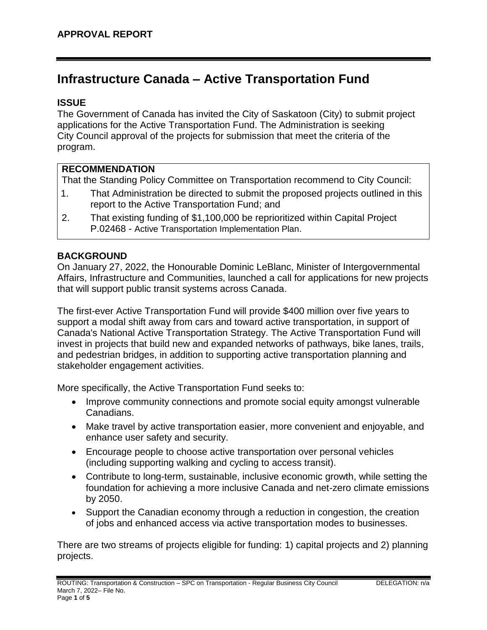# **Infrastructure Canada – Active Transportation Fund**

#### **ISSUE**

The Government of Canada has invited the City of Saskatoon (City) to submit project applications for the Active Transportation Fund. The Administration is seeking City Council approval of the projects for submission that meet the criteria of the program.

## **RECOMMENDATION**

That the Standing Policy Committee on Transportation recommend to City Council:

- 1. That Administration be directed to submit the proposed projects outlined in this report to the Active Transportation Fund; and
- 2. That existing funding of \$1,100,000 be reprioritized within Capital Project P.02468 - Active Transportation Implementation Plan.

## **BACKGROUND**

On January 27, 2022, the Honourable Dominic LeBlanc, Minister of Intergovernmental Affairs, Infrastructure and Communities, launched a call for applications for new projects that will support public transit systems across Canada.

The first-ever Active Transportation Fund will provide \$400 million over five years to support a modal shift away from cars and toward active transportation, in support of Canada's National Active Transportation Strategy. The Active Transportation Fund will invest in projects that build new and expanded networks of pathways, bike lanes, trails, and pedestrian bridges, in addition to supporting active transportation planning and stakeholder engagement activities.

More specifically, the Active Transportation Fund seeks to:

- Improve community connections and promote social equity amongst vulnerable Canadians.
- Make travel by active transportation easier, more convenient and enjoyable, and enhance user safety and security.
- Encourage people to choose active transportation over personal vehicles (including supporting walking and cycling to access transit).
- Contribute to long-term, sustainable, inclusive economic growth, while setting the foundation for achieving a more inclusive Canada and net-zero climate emissions by 2050.
- Support the Canadian economy through a reduction in congestion, the creation of jobs and enhanced access via active transportation modes to businesses.

There are two streams of projects eligible for funding: 1) capital projects and 2) planning projects.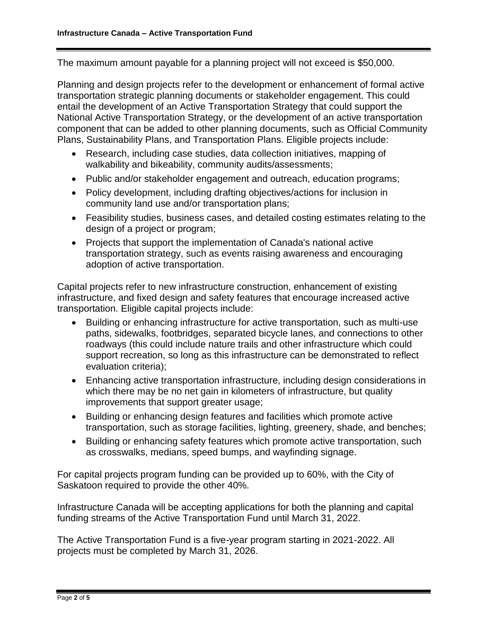The maximum amount payable for a planning project will not exceed is \$50,000.

Planning and design projects refer to the development or enhancement of formal active transportation strategic planning documents or stakeholder engagement. This could entail the development of an Active Transportation Strategy that could support the National Active Transportation Strategy, or the development of an active transportation component that can be added to other planning documents, such as Official Community Plans, Sustainability Plans, and Transportation Plans. Eligible projects include:

- Research, including case studies, data collection initiatives, mapping of walkability and bikeability, community audits/assessments;
- Public and/or stakeholder engagement and outreach, education programs;
- Policy development, including drafting objectives/actions for inclusion in community land use and/or transportation plans;
- Feasibility studies, business cases, and detailed costing estimates relating to the design of a project or program;
- Projects that support the implementation of Canada's national active transportation strategy, such as events raising awareness and encouraging adoption of active transportation.

Capital projects refer to new infrastructure construction, enhancement of existing infrastructure, and fixed design and safety features that encourage increased active transportation. Eligible capital projects include:

- Building or enhancing infrastructure for active transportation, such as multi-use paths, sidewalks, footbridges, separated bicycle lanes, and connections to other roadways (this could include nature trails and other infrastructure which could support recreation, so long as this infrastructure can be demonstrated to reflect evaluation criteria);
- Enhancing active transportation infrastructure, including design considerations in which there may be no net gain in kilometers of infrastructure, but quality improvements that support greater usage;
- Building or enhancing design features and facilities which promote active transportation, such as storage facilities, lighting, greenery, shade, and benches;
- Building or enhancing safety features which promote active transportation, such as crosswalks, medians, speed bumps, and wayfinding signage.

For capital projects program funding can be provided up to 60%, with the City of Saskatoon required to provide the other 40%.

Infrastructure Canada will be accepting applications for both the planning and capital funding streams of the Active Transportation Fund until March 31, 2022.

The Active Transportation Fund is a five-year program starting in 2021-2022. All projects must be completed by March 31, 2026.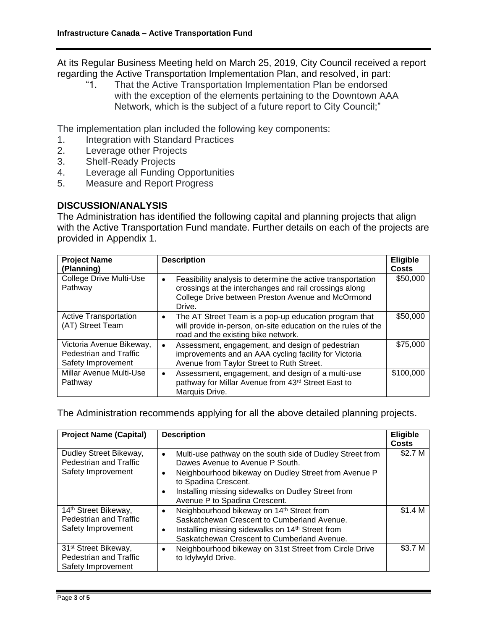At its Regular Business Meeting held on March 25, 2019, City Council received a report regarding the Active Transportation Implementation Plan, and resolved, in part:

"1. That the Active Transportation Implementation Plan be endorsed with the exception of the elements pertaining to the Downtown AAA Network, which is the subject of a future report to City Council;"

The implementation plan included the following key components:

- 1. Integration with Standard Practices
- 2. Leverage other Projects
- 3. Shelf-Ready Projects
- 4. Leverage all Funding Opportunities
- 5. Measure and Report Progress

#### **DISCUSSION/ANALYSIS**

The Administration has identified the following capital and planning projects that align with the Active Transportation Fund mandate. Further details on each of the projects are provided in Appendix 1.

| <b>Project Name</b><br>(Planning)                                        | <b>Description</b>                                                                                                                                                                                | <b>Eligible</b><br><b>Costs</b> |
|--------------------------------------------------------------------------|---------------------------------------------------------------------------------------------------------------------------------------------------------------------------------------------------|---------------------------------|
| <b>College Drive Multi-Use</b><br>Pathway                                | Feasibility analysis to determine the active transportation<br>$\bullet$<br>crossings at the interchanges and rail crossings along<br>College Drive between Preston Avenue and McOrmond<br>Drive. | \$50,000                        |
| <b>Active Transportation</b><br>(AT) Street Team                         | The AT Street Team is a pop-up education program that<br>$\bullet$<br>will provide in-person, on-site education on the rules of the<br>road and the existing bike network.                        | \$50,000                        |
| Victoria Avenue Bikeway,<br>Pedestrian and Traffic<br>Safety Improvement | Assessment, engagement, and design of pedestrian<br>$\bullet$<br>improvements and an AAA cycling facility for Victoria<br>Avenue from Taylor Street to Ruth Street.                               | \$75,000                        |
| <b>Millar Avenue Multi-Use</b><br>Pathway                                | Assessment, engagement, and design of a multi-use<br>$\bullet$<br>pathway for Millar Avenue from 43rd Street East to<br>Marquis Drive.                                                            | \$100,000                       |

The Administration recommends applying for all the above detailed planning projects.

| <b>Project Name (Capital)</b>                                                    | <b>Description</b>                                                                                                                                                                                                                                                                                         | <b>Eligible</b><br><b>Costs</b> |
|----------------------------------------------------------------------------------|------------------------------------------------------------------------------------------------------------------------------------------------------------------------------------------------------------------------------------------------------------------------------------------------------------|---------------------------------|
| Dudley Street Bikeway,<br>Pedestrian and Traffic<br>Safety Improvement           | Multi-use pathway on the south side of Dudley Street from<br>$\bullet$<br>Dawes Avenue to Avenue P South.<br>Neighbourhood bikeway on Dudley Street from Avenue P<br>$\bullet$<br>to Spadina Crescent.<br>Installing missing sidewalks on Dudley Street from<br>$\bullet$<br>Avenue P to Spadina Crescent. | \$2.7 M                         |
| 14 <sup>th</sup> Street Bikeway,<br>Pedestrian and Traffic<br>Safety Improvement | Neighbourhood bikeway on 14th Street from<br>$\bullet$<br>Saskatchewan Crescent to Cumberland Avenue.<br>Installing missing sidewalks on 14 <sup>th</sup> Street from<br>$\bullet$<br>Saskatchewan Crescent to Cumberland Avenue.                                                                          | \$1.4 <sub>M</sub>              |
| 31 <sup>st</sup> Street Bikeway,<br>Pedestrian and Traffic<br>Safety Improvement | Neighbourhood bikeway on 31st Street from Circle Drive<br>$\bullet$<br>to Idylwyld Drive.                                                                                                                                                                                                                  | \$3.7 M                         |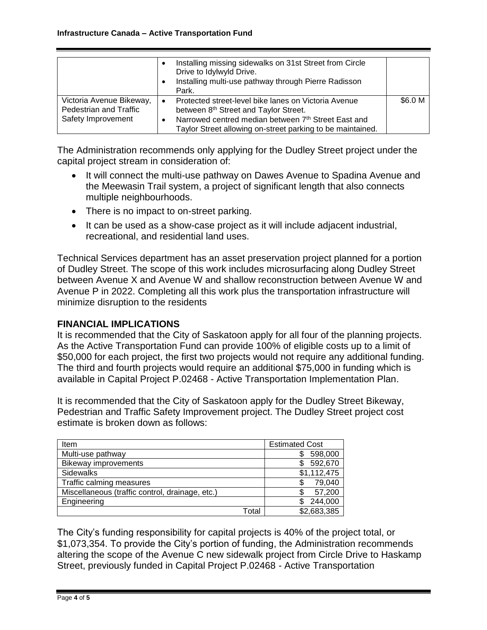|                                                                          |           | Installing missing sidewalks on 31st Street from Circle<br>Drive to Idylwyld Drive.<br>Installing multi-use pathway through Pierre Radisson<br>Park.                                                               |         |
|--------------------------------------------------------------------------|-----------|--------------------------------------------------------------------------------------------------------------------------------------------------------------------------------------------------------------------|---------|
| Victoria Avenue Bikeway,<br>Pedestrian and Traffic<br>Safety Improvement | $\bullet$ | Protected street-level bike lanes on Victoria Avenue<br>between 8th Street and Taylor Street.<br>Narrowed centred median between 7th Street East and<br>Taylor Street allowing on-street parking to be maintained. | \$6.0 M |

The Administration recommends only applying for the Dudley Street project under the capital project stream in consideration of:

- It will connect the multi-use pathway on Dawes Avenue to Spadina Avenue and the Meewasin Trail system, a project of significant length that also connects multiple neighbourhoods.
- There is no impact to on-street parking.
- It can be used as a show-case project as it will include adjacent industrial, recreational, and residential land uses.

Technical Services department has an asset preservation project planned for a portion of Dudley Street. The scope of this work includes microsurfacing along Dudley Street between Avenue X and Avenue W and shallow reconstruction between Avenue W and Avenue P in 2022. Completing all this work plus the transportation infrastructure will minimize disruption to the residents

#### **FINANCIAL IMPLICATIONS**

It is recommended that the City of Saskatoon apply for all four of the planning projects. As the Active Transportation Fund can provide 100% of eligible costs up to a limit of \$50,000 for each project, the first two projects would not require any additional funding. The third and fourth projects would require an additional \$75,000 in funding which is available in Capital Project P.02468 - Active Transportation Implementation Plan.

It is recommended that the City of Saskatoon apply for the Dudley Street Bikeway, Pedestrian and Traffic Safety Improvement project. The Dudley Street project cost estimate is broken down as follows:

| Item                                            |       | <b>Estimated Cost</b> |  |
|-------------------------------------------------|-------|-----------------------|--|
| Multi-use pathway                               |       | 598,000               |  |
| <b>Bikeway improvements</b>                     |       | 592,670               |  |
| Sidewalks                                       |       | \$1,112,475           |  |
| Traffic calming measures                        |       | 79,040                |  |
| Miscellaneous (traffic control, drainage, etc.) |       | 57,200                |  |
| Engineering                                     |       | 244,000               |  |
|                                                 | Total | \$2,683,385           |  |

The City's funding responsibility for capital projects is 40% of the project total, or \$1,073,354. To provide the City's portion of funding, the Administration recommends altering the scope of the Avenue C new sidewalk project from Circle Drive to Haskamp Street, previously funded in Capital Project P.02468 - Active Transportation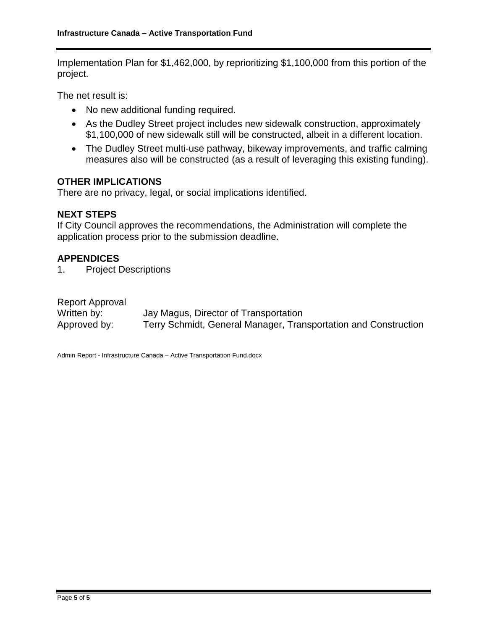Implementation Plan for \$1,462,000, by reprioritizing \$1,100,000 from this portion of the project.

The net result is:

- No new additional funding required.
- As the Dudley Street project includes new sidewalk construction, approximately \$1,100,000 of new sidewalk still will be constructed, albeit in a different location.
- The Dudley Street multi-use pathway, bikeway improvements, and traffic calming measures also will be constructed (as a result of leveraging this existing funding).

#### **OTHER IMPLICATIONS**

There are no privacy, legal, or social implications identified.

#### **NEXT STEPS**

If City Council approves the recommendations, the Administration will complete the application process prior to the submission deadline.

#### **APPENDICES**

1. Project Descriptions

| Report Approval |                                                                 |
|-----------------|-----------------------------------------------------------------|
| Written by:     | Jay Magus, Director of Transportation                           |
| Approved by:    | Terry Schmidt, General Manager, Transportation and Construction |

Admin Report - Infrastructure Canada – Active Transportation Fund.docx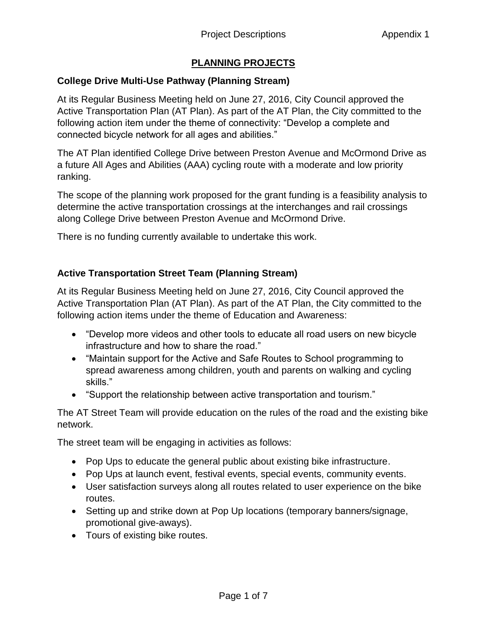# **PLANNING PROJECTS**

# **College Drive Multi-Use Pathway (Planning Stream)**

At its Regular Business Meeting held on June 27, 2016, City Council approved the Active Transportation Plan (AT Plan). As part of the AT Plan, the City committed to the following action item under the theme of connectivity: "Develop a complete and connected bicycle network for all ages and abilities."

The AT Plan identified College Drive between Preston Avenue and McOrmond Drive as a future All Ages and Abilities (AAA) cycling route with a moderate and low priority ranking.

The scope of the planning work proposed for the grant funding is a feasibility analysis to determine the active transportation crossings at the interchanges and rail crossings along College Drive between Preston Avenue and McOrmond Drive.

There is no funding currently available to undertake this work.

# **Active Transportation Street Team (Planning Stream)**

At its Regular Business Meeting held on June 27, 2016, City Council approved the Active Transportation Plan (AT Plan). As part of the AT Plan, the City committed to the following action items under the theme of Education and Awareness:

- "Develop more videos and other tools to educate all road users on new bicycle infrastructure and how to share the road."
- "Maintain support for the Active and Safe Routes to School programming to spread awareness among children, youth and parents on walking and cycling skills."
- "Support the relationship between active transportation and tourism."

The AT Street Team will provide education on the rules of the road and the existing bike network.

The street team will be engaging in activities as follows:

- Pop Ups to educate the general public about existing bike infrastructure.
- Pop Ups at launch event, festival events, special events, community events.
- User satisfaction surveys along all routes related to user experience on the bike routes.
- Setting up and strike down at Pop Up locations (temporary banners/signage, promotional give-aways).
- Tours of existing bike routes.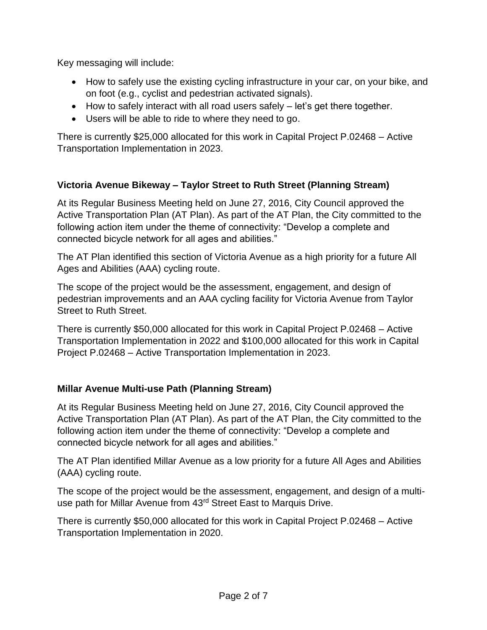Key messaging will include:

- How to safely use the existing cycling infrastructure in your car, on your bike, and on foot (e.g., cyclist and pedestrian activated signals).
- $\bullet$  How to safely interact with all road users safely  $-$  let's get there together.
- Users will be able to ride to where they need to go.

There is currently \$25,000 allocated for this work in Capital Project P.02468 – Active Transportation Implementation in 2023.

# **Victoria Avenue Bikeway – Taylor Street to Ruth Street (Planning Stream)**

At its Regular Business Meeting held on June 27, 2016, City Council approved the Active Transportation Plan (AT Plan). As part of the AT Plan, the City committed to the following action item under the theme of connectivity: "Develop a complete and connected bicycle network for all ages and abilities."

The AT Plan identified this section of Victoria Avenue as a high priority for a future All Ages and Abilities (AAA) cycling route.

The scope of the project would be the assessment, engagement, and design of pedestrian improvements and an AAA cycling facility for Victoria Avenue from Taylor Street to Ruth Street.

There is currently \$50,000 allocated for this work in Capital Project P.02468 – Active Transportation Implementation in 2022 and \$100,000 allocated for this work in Capital Project P.02468 – Active Transportation Implementation in 2023.

# **Millar Avenue Multi-use Path (Planning Stream)**

At its Regular Business Meeting held on June 27, 2016, City Council approved the Active Transportation Plan (AT Plan). As part of the AT Plan, the City committed to the following action item under the theme of connectivity: "Develop a complete and connected bicycle network for all ages and abilities."

The AT Plan identified Millar Avenue as a low priority for a future All Ages and Abilities (AAA) cycling route.

The scope of the project would be the assessment, engagement, and design of a multiuse path for Millar Avenue from 43<sup>rd</sup> Street East to Marquis Drive.

There is currently \$50,000 allocated for this work in Capital Project P.02468 – Active Transportation Implementation in 2020.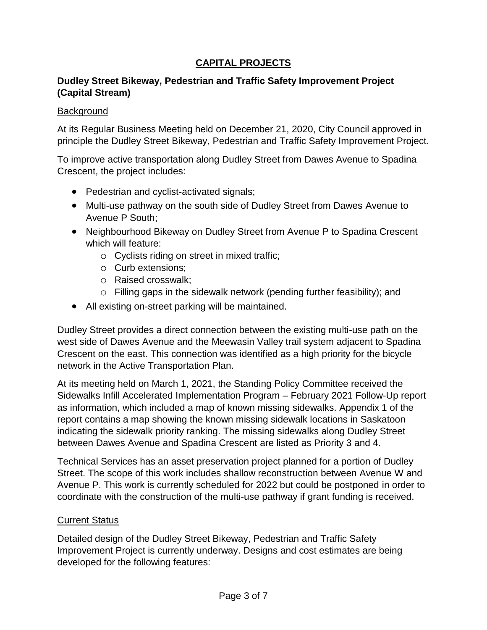# **CAPITAL PROJECTS**

## **Dudley Street Bikeway, Pedestrian and Traffic Safety Improvement Project (Capital Stream)**

#### **Background**

At its Regular Business Meeting held on December 21, 2020, City Council approved in principle the Dudley Street Bikeway, Pedestrian and Traffic Safety Improvement Project.

To improve active transportation along Dudley Street from Dawes Avenue to Spadina Crescent, the project includes:

- Pedestrian and cyclist-activated signals;
- Multi-use pathway on the south side of Dudley Street from Dawes Avenue to Avenue P South;
- Neighbourhood Bikeway on Dudley Street from Avenue P to Spadina Crescent which will feature:
	- o Cyclists riding on street in mixed traffic;
	- o Curb extensions;
	- o Raised crosswalk;
	- o Filling gaps in the sidewalk network (pending further feasibility); and
- All existing on-street parking will be maintained.

Dudley Street provides a direct connection between the existing multi-use path on the west side of Dawes Avenue and the Meewasin Valley trail system adjacent to Spadina Crescent on the east. This connection was identified as a high priority for the bicycle network in the Active Transportation Plan.

At its meeting held on March 1, 2021, the Standing Policy Committee received the Sidewalks Infill Accelerated Implementation Program – February 2021 Follow-Up report as information, which included a map of known missing sidewalks. Appendix 1 of the report contains a map showing the known missing sidewalk locations in Saskatoon indicating the sidewalk priority ranking. The missing sidewalks along Dudley Street between Dawes Avenue and Spadina Crescent are listed as Priority 3 and 4.

Technical Services has an asset preservation project planned for a portion of Dudley Street. The scope of this work includes shallow reconstruction between Avenue W and Avenue P. This work is currently scheduled for 2022 but could be postponed in order to coordinate with the construction of the multi-use pathway if grant funding is received.

## **Current Status**

Detailed design of the Dudley Street Bikeway, Pedestrian and Traffic Safety Improvement Project is currently underway. Designs and cost estimates are being developed for the following features: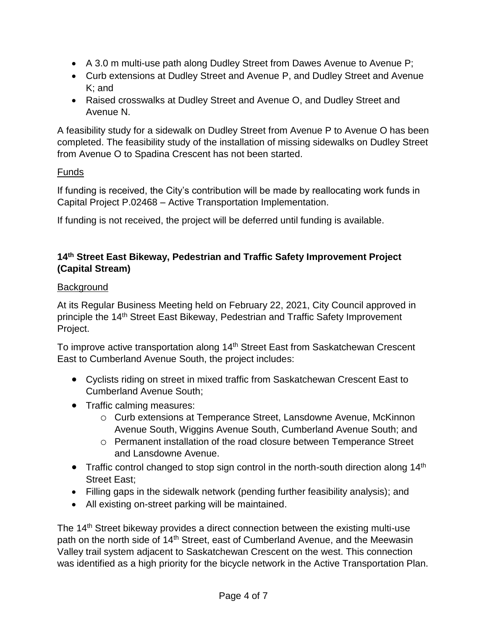- A 3.0 m multi-use path along Dudley Street from Dawes Avenue to Avenue P;
- Curb extensions at Dudley Street and Avenue P, and Dudley Street and Avenue K; and
- Raised crosswalks at Dudley Street and Avenue O, and Dudley Street and Avenue N.

A feasibility study for a sidewalk on Dudley Street from Avenue P to Avenue O has been completed. The feasibility study of the installation of missing sidewalks on Dudley Street from Avenue O to Spadina Crescent has not been started.

## Funds

If funding is received, the City's contribution will be made by reallocating work funds in Capital Project P.02468 – Active Transportation Implementation.

If funding is not received, the project will be deferred until funding is available.

## **14th Street East Bikeway, Pedestrian and Traffic Safety Improvement Project (Capital Stream)**

## **Background**

At its Regular Business Meeting held on February 22, 2021, City Council approved in principle the 14th Street East Bikeway, Pedestrian and Traffic Safety Improvement Project.

To improve active transportation along 14<sup>th</sup> Street East from Saskatchewan Crescent East to Cumberland Avenue South, the project includes:

- Cyclists riding on street in mixed traffic from Saskatchewan Crescent East to Cumberland Avenue South;
- Traffic calming measures:
	- o Curb extensions at Temperance Street, Lansdowne Avenue, McKinnon Avenue South, Wiggins Avenue South, Cumberland Avenue South; and
	- o Permanent installation of the road closure between Temperance Street and Lansdowne Avenue.
- Traffic control changed to stop sign control in the north-south direction along  $14<sup>th</sup>$ Street East;
- Filling gaps in the sidewalk network (pending further feasibility analysis); and
- All existing on-street parking will be maintained.

The 14<sup>th</sup> Street bikeway provides a direct connection between the existing multi-use path on the north side of 14<sup>th</sup> Street, east of Cumberland Avenue, and the Meewasin Valley trail system adjacent to Saskatchewan Crescent on the west. This connection was identified as a high priority for the bicycle network in the Active Transportation Plan.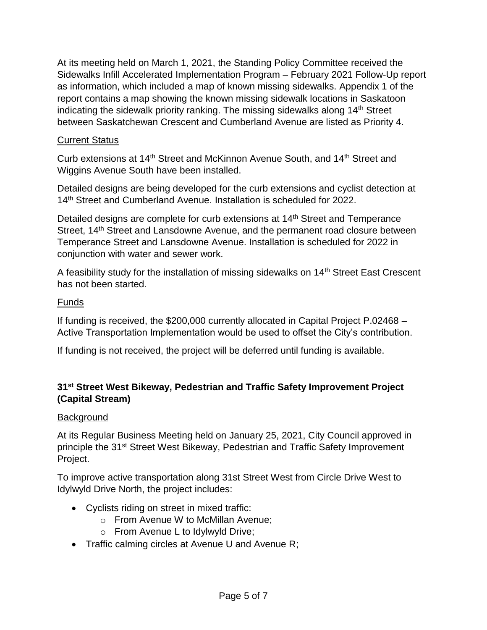At its meeting held on March 1, 2021, the Standing Policy Committee received the Sidewalks Infill Accelerated Implementation Program – February 2021 Follow-Up report as information, which included a map of known missing sidewalks. Appendix 1 of the report contains a map showing the known missing sidewalk locations in Saskatoon indicating the sidewalk priority ranking. The missing sidewalks along  $14<sup>th</sup>$  Street between Saskatchewan Crescent and Cumberland Avenue are listed as Priority 4.

## Current Status

Curb extensions at 14<sup>th</sup> Street and McKinnon Avenue South, and 14<sup>th</sup> Street and Wiggins Avenue South have been installed.

Detailed designs are being developed for the curb extensions and cyclist detection at 14<sup>th</sup> Street and Cumberland Avenue. Installation is scheduled for 2022.

Detailed designs are complete for curb extensions at 14<sup>th</sup> Street and Temperance Street, 14<sup>th</sup> Street and Lansdowne Avenue, and the permanent road closure between Temperance Street and Lansdowne Avenue. Installation is scheduled for 2022 in conjunction with water and sewer work.

A feasibility study for the installation of missing sidewalks on 14<sup>th</sup> Street East Crescent has not been started.

## Funds

If funding is received, the \$200,000 currently allocated in Capital Project P.02468 – Active Transportation Implementation would be used to offset the City's contribution.

If funding is not received, the project will be deferred until funding is available.

# **31st Street West Bikeway, Pedestrian and Traffic Safety Improvement Project (Capital Stream)**

## Background

At its Regular Business Meeting held on January 25, 2021, City Council approved in principle the 31<sup>st</sup> Street West Bikeway, Pedestrian and Traffic Safety Improvement Project.

To improve active transportation along 31st Street West from Circle Drive West to Idylwyld Drive North, the project includes:

- Cyclists riding on street in mixed traffic:
	- o From Avenue W to McMillan Avenue;
	- o From Avenue L to Idylwyld Drive;
- Traffic calming circles at Avenue U and Avenue R;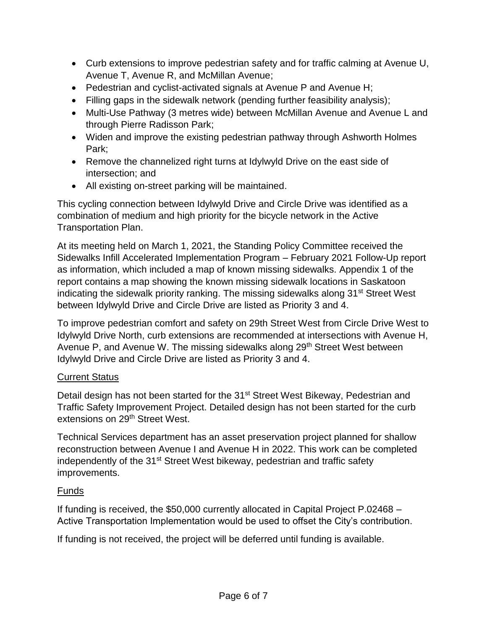- Curb extensions to improve pedestrian safety and for traffic calming at Avenue U, Avenue T, Avenue R, and McMillan Avenue;
- Pedestrian and cyclist-activated signals at Avenue P and Avenue H;
- Filling gaps in the sidewalk network (pending further feasibility analysis);
- Multi-Use Pathway (3 metres wide) between McMillan Avenue and Avenue L and through Pierre Radisson Park;
- Widen and improve the existing pedestrian pathway through Ashworth Holmes Park;
- Remove the channelized right turns at Idylwyld Drive on the east side of intersection; and
- All existing on-street parking will be maintained.

This cycling connection between Idylwyld Drive and Circle Drive was identified as a combination of medium and high priority for the bicycle network in the Active Transportation Plan.

At its meeting held on March 1, 2021, the Standing Policy Committee received the Sidewalks Infill Accelerated Implementation Program – February 2021 Follow-Up report as information, which included a map of known missing sidewalks. Appendix 1 of the report contains a map showing the known missing sidewalk locations in Saskatoon indicating the sidewalk priority ranking. The missing sidewalks along 31<sup>st</sup> Street West between Idylwyld Drive and Circle Drive are listed as Priority 3 and 4.

To improve pedestrian comfort and safety on 29th Street West from Circle Drive West to Idylwyld Drive North, curb extensions are recommended at intersections with Avenue H, Avenue P, and Avenue W. The missing sidewalks along 29<sup>th</sup> Street West between Idylwyld Drive and Circle Drive are listed as Priority 3 and 4.

## Current Status

Detail design has not been started for the 31<sup>st</sup> Street West Bikeway, Pedestrian and Traffic Safety Improvement Project. Detailed design has not been started for the curb extensions on 29th Street West.

Technical Services department has an asset preservation project planned for shallow reconstruction between Avenue I and Avenue H in 2022. This work can be completed independently of the 31<sup>st</sup> Street West bikeway, pedestrian and traffic safety improvements.

## Funds

If funding is received, the \$50,000 currently allocated in Capital Project P.02468 – Active Transportation Implementation would be used to offset the City's contribution.

If funding is not received, the project will be deferred until funding is available.